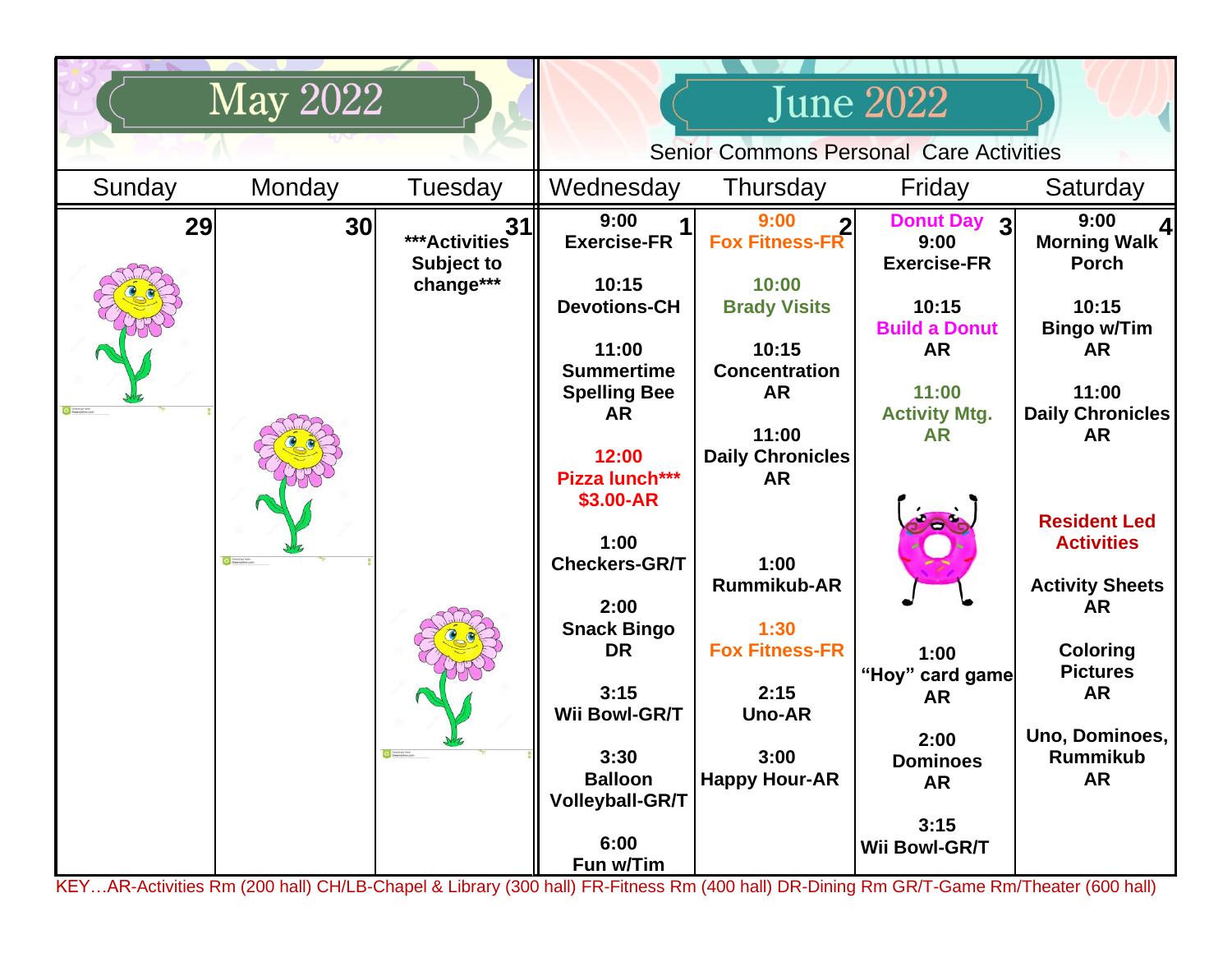| <b>May 2022</b> |                   |                                                       |                                                                                                                                                                                                                                                                                                                       |                                                                                                                                                                                                                                                                                      | June 2022                                                                                                                                                                                                             |                                                                                                                                                                                                                                                                                                                           |  |
|-----------------|-------------------|-------------------------------------------------------|-----------------------------------------------------------------------------------------------------------------------------------------------------------------------------------------------------------------------------------------------------------------------------------------------------------------------|--------------------------------------------------------------------------------------------------------------------------------------------------------------------------------------------------------------------------------------------------------------------------------------|-----------------------------------------------------------------------------------------------------------------------------------------------------------------------------------------------------------------------|---------------------------------------------------------------------------------------------------------------------------------------------------------------------------------------------------------------------------------------------------------------------------------------------------------------------------|--|
|                 |                   |                                                       | <b>Senior Commons Personal Care Activities</b>                                                                                                                                                                                                                                                                        |                                                                                                                                                                                                                                                                                      |                                                                                                                                                                                                                       |                                                                                                                                                                                                                                                                                                                           |  |
| Sunday          | Monday            | Tuesday                                               | Wednesday                                                                                                                                                                                                                                                                                                             | Thursday                                                                                                                                                                                                                                                                             | Friday                                                                                                                                                                                                                | Saturday                                                                                                                                                                                                                                                                                                                  |  |
| 29              | 30<br>Contractive | 31<br>***Activities<br><b>Subject to</b><br>change*** | 9:00<br><b>Exercise-FR</b><br>10:15<br><b>Devotions-CH</b><br>11:00<br><b>Summertime</b><br><b>Spelling Bee</b><br><b>AR</b><br>12:00<br>Pizza lunch***<br>\$3.00-AR<br>1:00<br><b>Checkers-GR/T</b><br>2:00<br><b>Snack Bingo</b><br><b>DR</b><br>3:15<br>Wii Bowl-GR/T<br>3:30<br><b>Balloon</b><br>Volleyball-GR/T | 9:00<br><b>Fox Fitness-FR</b><br>10:00<br><b>Brady Visits</b><br>10:15<br><b>Concentration</b><br><b>AR</b><br>11:00<br><b>Daily Chronicles</b><br><b>AR</b><br>1:00<br><b>Rummikub-AR</b><br>1:30<br><b>Fox Fitness-FR</b><br>2:15<br><b>Uno-AR</b><br>3:00<br><b>Happy Hour-AR</b> | Donut Day 3<br>9:00<br><b>Exercise-FR</b><br>10:15<br><b>Build a Donut</b><br><b>AR</b><br>11:00<br><b>Activity Mtg.</b><br><b>AR</b><br>1:00<br>"Hoy" card game<br><b>AR</b><br>2:00<br><b>Dominoes</b><br><b>AR</b> | 9:00<br><b>Morning Walk</b><br><b>Porch</b><br>10:15<br><b>Bingo w/Tim</b><br><b>AR</b><br>11:00<br><b>Daily Chronicles</b><br><b>AR</b><br><b>Resident Led</b><br><b>Activities</b><br><b>Activity Sheets</b><br><b>AR</b><br><b>Coloring</b><br><b>Pictures</b><br><b>AR</b><br>Uno, Dominoes,<br>Rummikub<br><b>AR</b> |  |
|                 |                   |                                                       | 6:00<br>Fun w/Tim                                                                                                                                                                                                                                                                                                     |                                                                                                                                                                                                                                                                                      | 3:15<br>Wii Bowl-GR/T                                                                                                                                                                                                 |                                                                                                                                                                                                                                                                                                                           |  |

**3:30** KEY…AR-Activities Rm (200 hall) CH/LB-Chapel & Library (300 hall) FR-Fitness Rm (400 hall) DR-Dining Rm GR/T-Game Rm/Theater (600 hall)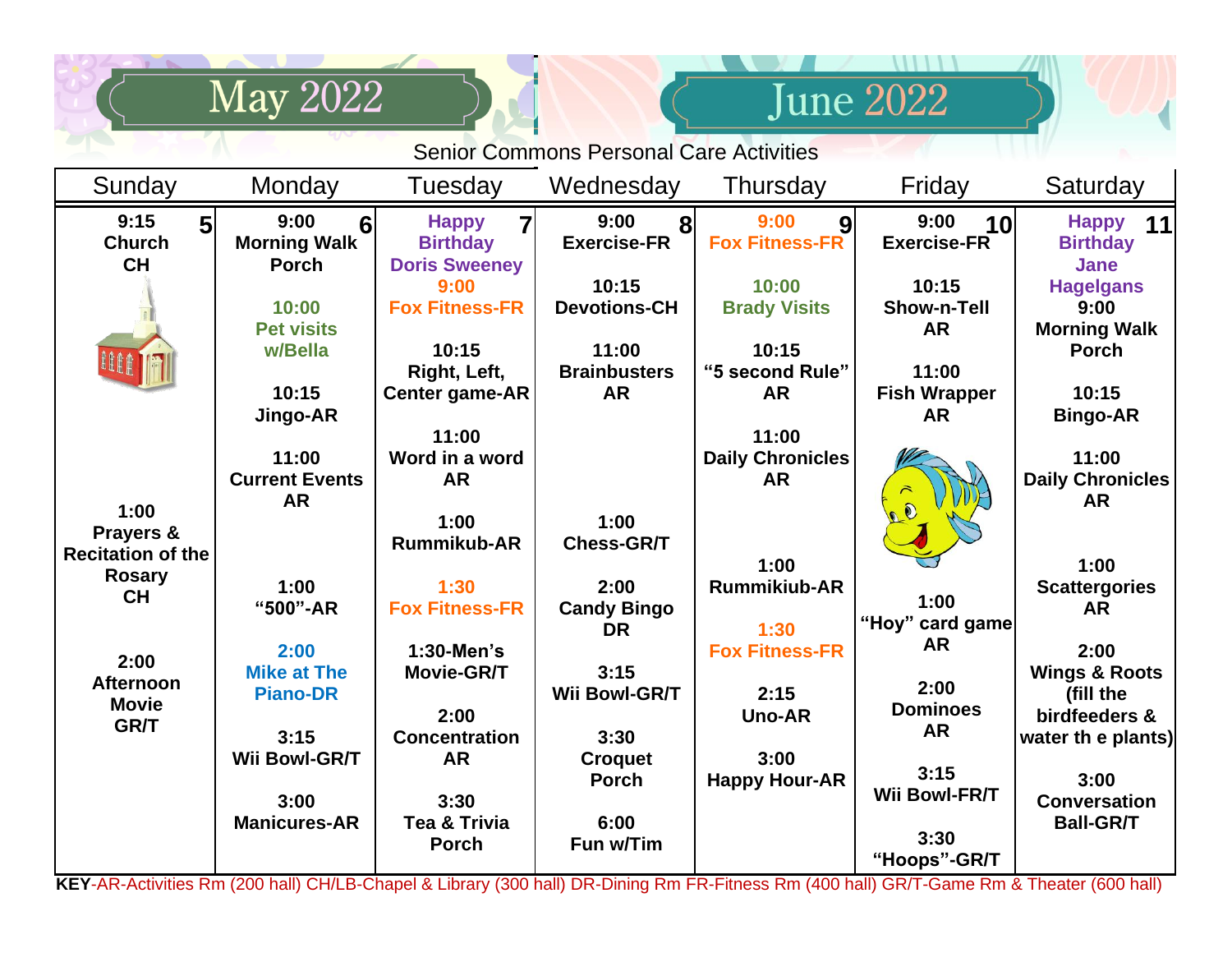|                                                         | <b>May 2022</b>                                               |                                                                      |                                                     |                                                 | <b>June 2022</b>                                       |                                                                |  |  |
|---------------------------------------------------------|---------------------------------------------------------------|----------------------------------------------------------------------|-----------------------------------------------------|-------------------------------------------------|--------------------------------------------------------|----------------------------------------------------------------|--|--|
| <b>Senior Commons Personal Care Activities</b>          |                                                               |                                                                      |                                                     |                                                 |                                                        |                                                                |  |  |
| Sunday                                                  | Monday                                                        | Tuesday                                                              | Wednesday                                           | Thursday                                        | Friday                                                 | Saturday                                                       |  |  |
| 9:15<br>5<br><b>Church</b><br><b>CH</b>                 | 9:00<br>6 <sup>1</sup><br><b>Morning Walk</b><br><b>Porch</b> | <b>Happy</b><br>7<br><b>Birthday</b><br><b>Doris Sweeney</b><br>9:00 | 9:00<br>$\bf{8}$<br><b>Exercise-FR</b><br>10:15     | 9:00<br>9<br><b>Fox Fitness-FR</b><br>10:00     | 9:00<br>10 <sup>l</sup><br><b>Exercise-FR</b><br>10:15 | Happy 11<br><b>Birthday</b><br><b>Jane</b><br><b>Hagelgans</b> |  |  |
|                                                         | 10:00<br><b>Pet visits</b><br>w/Bella                         | <b>Fox Fitness-FR</b><br>10:15<br>Right, Left,                       | <b>Devotions-CH</b><br>11:00<br><b>Brainbusters</b> | <b>Brady Visits</b><br>10:15<br>"5 second Rule" | <b>Show-n-Tell</b><br><b>AR</b><br>11:00               | 9:00<br><b>Morning Walk</b><br><b>Porch</b>                    |  |  |
|                                                         | 10:15<br>Jingo-AR                                             | Center game-AR<br>11:00                                              | <b>AR</b>                                           | <b>AR</b><br>11:00                              | <b>Fish Wrapper</b><br><b>AR</b>                       | 10:15<br><b>Bingo-AR</b>                                       |  |  |
| 1:00                                                    | 11:00<br><b>Current Events</b><br><b>AR</b>                   | Word in a word<br><b>AR</b><br>1:00                                  | 1:00                                                | <b>Daily Chronicles</b><br><b>AR</b>            |                                                        | 11:00<br><b>Daily Chronicles</b><br><b>AR</b>                  |  |  |
| Prayers &<br><b>Recitation of the</b><br><b>Rosary</b>  |                                                               | <b>Rummikub-AR</b>                                                   | <b>Chess-GR/T</b>                                   | 1:00                                            |                                                        | 1:00                                                           |  |  |
| <b>CH</b>                                               | 1:00<br>"500"-AR                                              | 1:30<br><b>Fox Fitness-FR</b>                                        | 2:00<br><b>Candy Bingo</b><br><b>DR</b>             | <b>Rummikiub-AR</b><br>1:30                     | 1:00<br>"Hoy" card game                                | <b>Scattergories</b><br><b>AR</b>                              |  |  |
| 2:00<br><b>Afternoon</b><br><b>Movie</b><br><b>GR/T</b> | 2:00<br><b>Mike at The</b><br><b>Piano-DR</b>                 | 1:30-Men's<br>Movie-GR/T<br>2:00                                     | 3:15<br>Wii Bowl-GR/T                               | <b>Fox Fitness-FR</b><br>2:15<br><b>Uno-AR</b>  | <b>AR</b><br>2:00<br><b>Dominoes</b>                   | 2:00<br><b>Wings &amp; Roots</b><br>(fill the<br>birdfeeders & |  |  |
|                                                         | 3:15<br>Wii Bowl-GR/T<br>3:00                                 | <b>Concentration</b><br>AR<br>3:30                                   | 3:30<br><b>Croquet</b><br><b>Porch</b>              | 3:00<br><b>Happy Hour-AR</b>                    | <b>AR</b><br>3:15<br>Wii Bowl-FR/T                     | water th e plants)<br>3:00<br><b>Conversation</b>              |  |  |
|                                                         | <b>Manicures-AR</b>                                           | Tea & Trivia<br><b>Porch</b>                                         | 6:00<br>Fun w/Tim                                   |                                                 | 3:30<br>"Hoops"-GR/T                                   | <b>Ball-GR/T</b>                                               |  |  |

**KEY**-AR-Activities Rm (200 hall) CH/LB-Chapel & Library (300 hall) DR-Dining Rm FR-Fitness Rm (400 hall) GR/T-Game Rm & Theater (600 hall)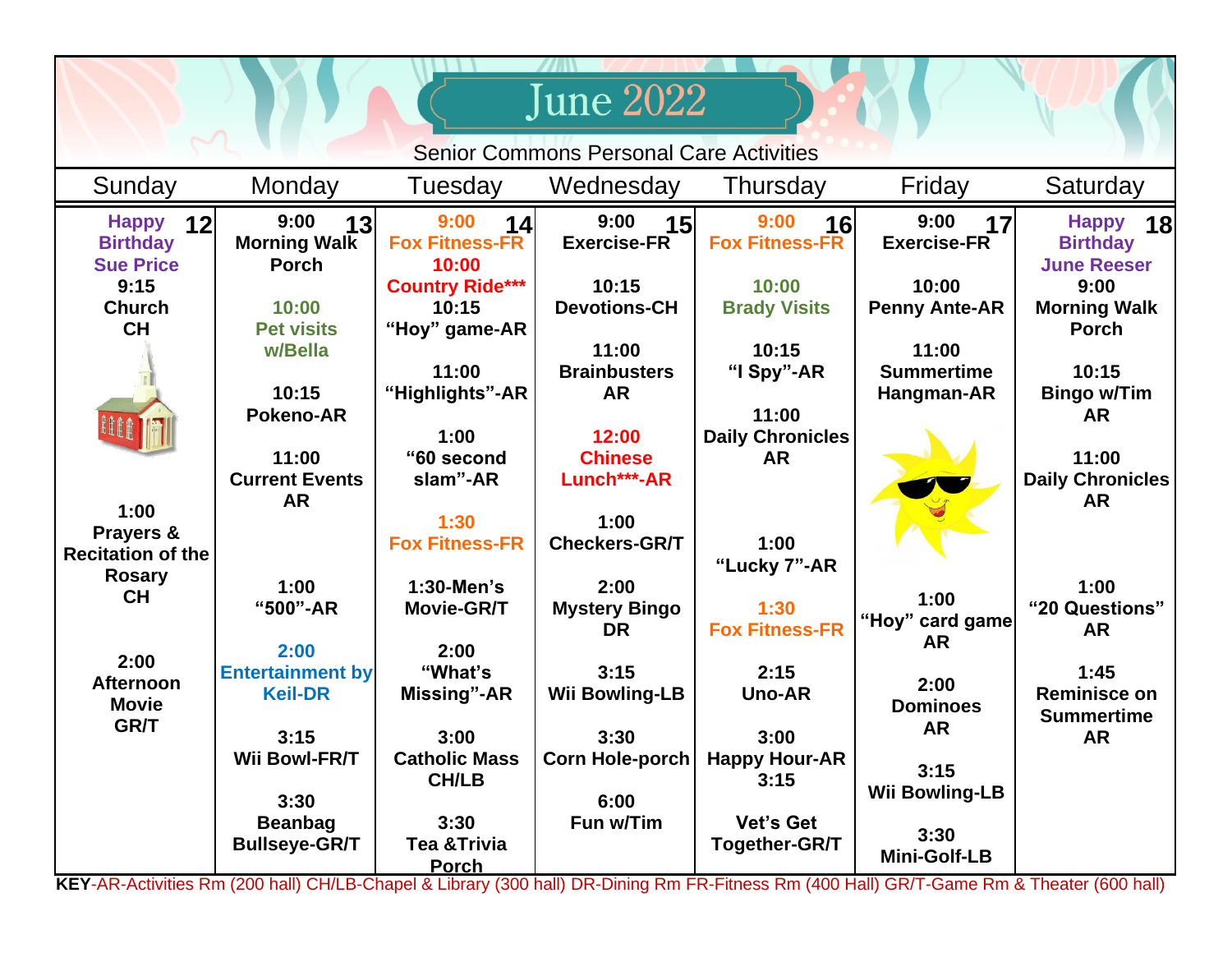|                                                           |                                                   |                                                  | <b>June 2022</b>                          |                                      |                                            |                                                                    |  |
|-----------------------------------------------------------|---------------------------------------------------|--------------------------------------------------|-------------------------------------------|--------------------------------------|--------------------------------------------|--------------------------------------------------------------------|--|
| <b>Senior Commons Personal Care Activities</b>            |                                                   |                                                  |                                           |                                      |                                            |                                                                    |  |
| Sunday                                                    | Monday                                            | Tuesday                                          | Wednesday                                 | Thursday                             | Friday                                     | Saturday                                                           |  |
| <b>Happy</b><br>12<br><b>Birthday</b><br><b>Sue Price</b> | 9:00<br>13<br><b>Morning Walk</b><br><b>Porch</b> | 9:00<br>14<br><b>Fox Fitness-FR</b><br>10:00     | 9:00<br>15<br><b>Exercise-FR</b>          | 9:00<br>16<br><b>Fox Fitness-FR</b>  | 9:00<br>17<br><b>Exercise-FR</b>           | <b>Happy</b><br><b>18</b><br><b>Birthday</b><br><b>June Reeser</b> |  |
| 9:15<br><b>Church</b><br><b>CH</b>                        | 10:00<br><b>Pet visits</b>                        | <b>Country Ride***</b><br>10:15<br>"Hoy" game-AR | 10:15<br><b>Devotions-CH</b>              | 10:00<br><b>Brady Visits</b>         | 10:00<br><b>Penny Ante-AR</b>              | 9:00<br><b>Morning Walk</b><br><b>Porch</b>                        |  |
|                                                           | w/Bella<br>10:15<br><b>Pokeno-AR</b>              | 11:00<br>"Highlights"-AR                         | 11:00<br><b>Brainbusters</b><br><b>AR</b> | 10:15<br>"I Spy"-AR<br>11:00         | 11:00<br><b>Summertime</b><br>Hangman-AR   | 10:15<br><b>Bingo w/Tim</b><br><b>AR</b>                           |  |
|                                                           | 11:00<br><b>Current Events</b>                    | 1:00<br>"60 second<br>slam"-AR                   | 12:00<br><b>Chinese</b><br>Lunch***-AR    | <b>Daily Chronicles</b><br><b>AR</b> |                                            | 11:00<br>Daily Chronicles                                          |  |
| 1:00<br>Prayers &<br><b>Recitation of the</b>             | <b>AR</b>                                         | 1:30<br><b>Fox Fitness-FR</b>                    | 1:00<br><b>Checkers-GR/T</b>              | 1:00<br>"Lucky 7"-AR                 |                                            | <b>AR</b>                                                          |  |
| <b>Rosary</b><br><b>CH</b>                                | 1:00<br>"500"-AR                                  | 1:30-Men's<br>Movie-GR/T                         | 2:00<br><b>Mystery Bingo</b><br><b>DR</b> | 1:30<br><b>Fox Fitness-FR</b>        | 1:00<br>"Hoy" card game<br><b>AR</b>       | 1:00<br>"20 Questions"<br><b>AR</b>                                |  |
| 2:00<br><b>Afternoon</b><br><b>Movie</b>                  | 2:00<br><b>Entertainment by</b><br><b>Keil-DR</b> | 2:00<br>"What's<br>Missing"-AR                   | 3:15<br><b>Wii Bowling-LB</b>             | 2:15<br><b>Uno-AR</b>                | 2:00<br><b>Dominoes</b>                    | 1:45<br>Reminisce on<br><b>Summertime</b>                          |  |
| <b>GR/T</b>                                               | 3:15<br><b>Wii Bowl-FR/T</b><br>3:30              | 3:00<br><b>Catholic Mass</b><br><b>CH/LB</b>     | 3:30<br><b>Corn Hole-porch</b><br>6:00    | 3:00<br><b>Happy Hour-AR</b><br>3:15 | <b>AR</b><br>3:15<br><b>Wii Bowling-LB</b> | <b>AR</b>                                                          |  |
|                                                           | <b>Beanbag</b><br><b>Bullseye-GR/T</b>            | 3:30<br><b>Tea &amp; Trivia</b><br><b>Porch</b>  | Fun w/Tim                                 | <b>Vet's Get</b><br>Together-GR/T    | 3:30<br><b>Mini-Golf-LB</b>                |                                                                    |  |

**KEY**-AR-Activities Rm (200 hall) CH/LB-Chapel & Library (300 hall) DR-Dining Rm FR-Fitness Rm (400 Hall) GR/T-Game Rm & Theater (600 hall)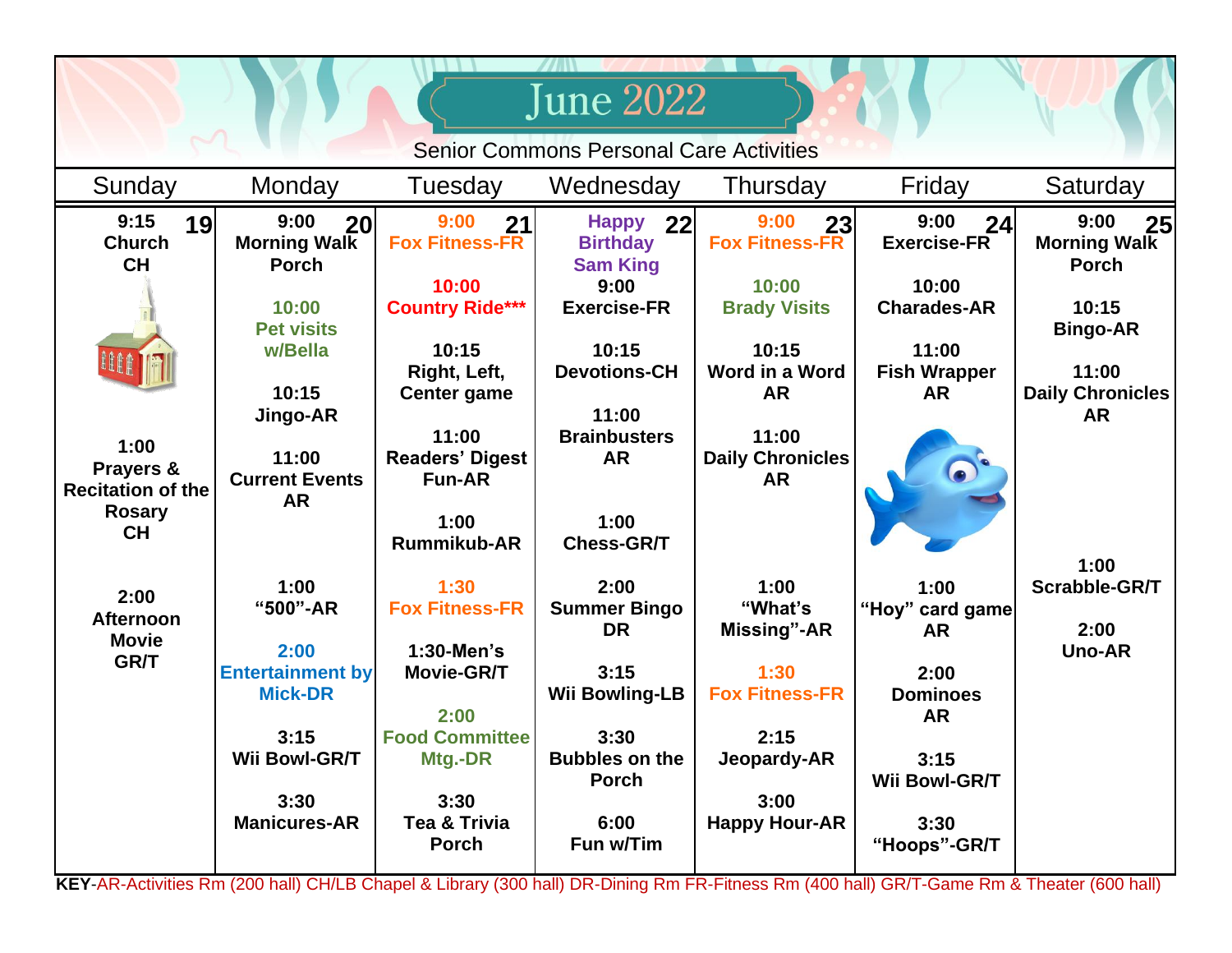| June 2022                                                      |                                                   |                                                  |                                                          |                                               |                                           |                                                   |  |
|----------------------------------------------------------------|---------------------------------------------------|--------------------------------------------------|----------------------------------------------------------|-----------------------------------------------|-------------------------------------------|---------------------------------------------------|--|
| <b>Senior Commons Personal Care Activities</b>                 |                                                   |                                                  |                                                          |                                               |                                           |                                                   |  |
| Sunday                                                         | Monday                                            | Tuesday                                          | Wednesday                                                | Thursday                                      | Friday                                    | Saturday                                          |  |
| 9:15<br>19<br><b>Church</b><br><b>CH</b>                       | 9:00<br>20<br><b>Morning Walk</b><br><b>Porch</b> | 9:00<br>21<br><b>Fox Fitness-FR</b>              | <b>Happy</b><br>22<br><b>Birthday</b><br><b>Sam King</b> | 9:00<br>23<br><b>Fox Fitness-FR</b>           | 9:00<br>24<br><b>Exercise-FR</b>          | 9:00<br>25<br><b>Morning Walk</b><br><b>Porch</b> |  |
|                                                                | 10:00<br><b>Pet visits</b>                        | 10:00<br><b>Country Ride***</b>                  | 9:00<br><b>Exercise-FR</b>                               | 10:00<br><b>Brady Visits</b>                  | 10:00<br><b>Charades-AR</b>               | 10:15<br><b>Bingo-AR</b>                          |  |
|                                                                | w/Bella<br>10:15<br>Jingo-AR                      | 10:15<br>Right, Left,<br>Center game             | 10:15<br><b>Devotions-CH</b><br>11:00                    | 10:15<br>Word in a Word<br><b>AR</b>          | 11:00<br><b>Fish Wrapper</b><br><b>AR</b> | 11:00<br><b>Daily Chronicles</b><br><b>AR</b>     |  |
| 1:00<br>Prayers &<br><b>Recitation of the</b><br><b>Rosary</b> | 11:00<br><b>Current Events</b><br>AR              | 11:00<br><b>Readers' Digest</b><br><b>Fun-AR</b> | <b>Brainbusters</b><br><b>AR</b>                         | 11:00<br><b>Daily Chronicles</b><br><b>AR</b> |                                           |                                                   |  |
| <b>CH</b>                                                      |                                                   | 1:00<br><b>Rummikub-AR</b>                       | 1:00<br><b>Chess-GR/T</b>                                |                                               |                                           | 1:00                                              |  |
| 2:00<br><b>Afternoon</b>                                       | 1:00<br>"500"-AR                                  | 1:30<br><b>Fox Fitness-FR</b>                    | 2:00<br><b>Summer Bingo</b><br><b>DR</b>                 | 1:00<br>"What's<br>Missing"-AR                | 1:00<br>"Hoy" card game<br><b>AR</b>      | Scrabble-GR/T<br>2:00                             |  |
| <b>Movie</b><br>GR/T                                           | 2:00<br><b>Entertainment by</b><br><b>Mick-DR</b> | 1:30-Men's<br>Movie-GR/T<br>2:00                 | 3:15<br><b>Wii Bowling-LB</b>                            | 1:30<br><b>Fox Fitness-FR</b>                 | 2:00<br><b>Dominoes</b><br><b>AR</b>      | <b>Uno-AR</b>                                     |  |
|                                                                | 3:15<br>Wii Bowl-GR/T                             | <b>Food Committee</b><br>Mtg.-DR                 | 3:30<br><b>Bubbles on the</b><br><b>Porch</b>            | 2:15<br>Jeopardy-AR                           | 3:15<br>Wii Bowl-GR/T                     |                                                   |  |
|                                                                | 3:30<br><b>Manicures-AR</b>                       | 3:30<br>Tea & Trivia<br><b>Porch</b>             | 6:00<br>Fun w/Tim                                        | 3:00<br><b>Happy Hour-AR</b>                  | 3:30<br>"Hoops"-GR/T                      |                                                   |  |

**KEY**-AR-Activities Rm (200 hall) CH/LB Chapel & Library (300 hall) DR-Dining Rm FR-Fitness Rm (400 hall) GR/T-Game Rm & Theater (600 hall)